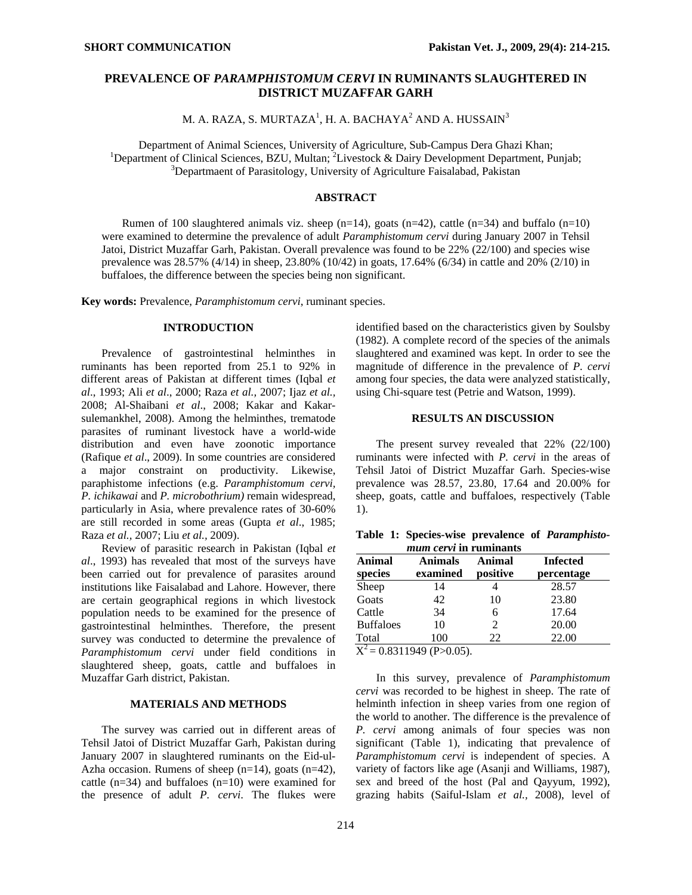# **PREVALENCE OF** *PARAMPHISTOMUM CERVI* **IN RUMINANTS SLAUGHTERED IN DISTRICT MUZAFFAR GARH**

M. A. RAZA, S. MURTAZA $^1$ , H. A. BACHAYA $^2$  AND A. HUSSAIN $^3$ 

Department of Animal Sciences, University of Agriculture, Sub-Campus Dera Ghazi Khan; 1 Department of Clinical Sciences, BZU, Multan;  ${}^{2}$ Livestock & Dairy Development Department, Punjab;  ${}^{3}$ Department of Beregitaleau, University of Agriculture Esisabeted Dekisten <sup>3</sup>Departmaent of Parasitology, University of Agriculture Faisalabad, Pakistan

#### **ABSTRACT**

Rumen of 100 slaughtered animals viz. sheep  $(n=14)$ , goats  $(n=42)$ , cattle  $(n=34)$  and buffalo  $(n=10)$ were examined to determine the prevalence of adult *Paramphistomum cervi* during January 2007 in Tehsil Jatoi, District Muzaffar Garh, Pakistan. Overall prevalence was found to be 22% (22/100) and species wise prevalence was 28.57% (4/14) in sheep, 23.80% (10/42) in goats, 17.64% (6/34) in cattle and 20% (2/10) in buffaloes, the difference between the species being non significant.

**Key words:** Prevalence, *Paramphistomum cervi*, ruminant species.

## **INTRODUCTION**

Prevalence of gastrointestinal helminthes in ruminants has been reported from 25.1 to 92% in different areas of Pakistan at different times (Iqbal *et al*., 1993; Ali *et al*., 2000; Raza *et al.,* 2007; Ijaz *et al.,* 2008; Al-Shaibani *et al*., 2008; Kakar and Kakarsulemankhel, 2008). Among the helminthes, trematode parasites of ruminant livestock have a world-wide distribution and even have zoonotic importance (Rafique *et al*., 2009). In some countries are considered a major constraint on productivity. Likewise, paraphistome infections (e.g. *Paramphistomum cervi, P. ichikawai* and *P. microbothrium)* remain widespread, particularly in Asia, where prevalence rates of 30-60% are still recorded in some areas (Gupta *et al*., 1985; Raza *et al.,* 2007; Liu *et al.,* 2009).

Review of parasitic research in Pakistan (Iqbal *et al*., 1993) has revealed that most of the surveys have been carried out for prevalence of parasites around institutions like Faisalabad and Lahore. However, there are certain geographical regions in which livestock population needs to be examined for the presence of gastrointestinal helminthes. Therefore, the present survey was conducted to determine the prevalence of *Paramphistomum cervi* under field conditions in slaughtered sheep, goats, cattle and buffaloes in Muzaffar Garh district, Pakistan.

### **MATERIALS AND METHODS**

The survey was carried out in different areas of Tehsil Jatoi of District Muzaffar Garh, Pakistan during January 2007 in slaughtered ruminants on the Eid-ul-Azha occasion. Rumens of sheep  $(n=14)$ , goats  $(n=42)$ , cattle (n=34) and buffaloes (n=10) were examined for the presence of adult *P. cervi*. The flukes were identified based on the characteristics given by Soulsby (1982). A complete record of the species of the animals slaughtered and examined was kept. In order to see the magnitude of difference in the prevalence of *P. cervi* among four species, the data were analyzed statistically, using Chi-square test (Petrie and Watson, 1999).

### **RESULTS AN DISCUSSION**

The present survey revealed that 22% (22/100) ruminants were infected with *P. cervi* in the areas of Tehsil Jatoi of District Muzaffar Garh. Species-wise prevalence was 28.57, 23.80, 17.64 and 20.00% for sheep, goats, cattle and buffaloes, respectively (Table 1).

**Table 1: Species-wise prevalence of** *Paramphistomum cervi* **in ruminants** 

| Animal<br>species | <b>Animals</b><br>examined | Animal<br>positive | <b>Infected</b><br>percentage |
|-------------------|----------------------------|--------------------|-------------------------------|
| Sheep             | 14                         |                    | 28.57                         |
| Goats             | 42                         | 10                 | 23.80                         |
| Cattle            | 34                         |                    | 17.64                         |
| <b>Buffaloes</b>  | 10                         | 2                  | 20.00                         |
| Total             | 100                        | 22                 | 22.00                         |

 $X^2 = 0.8311949$  (P>0.05).

In this survey, prevalence of *Paramphistomum cervi* was recorded to be highest in sheep. The rate of helminth infection in sheep varies from one region of the world to another. The difference is the prevalence of *P. cervi* among animals of four species was non significant (Table 1), indicating that prevalence of *Paramphistomum cervi* is independent of species. A variety of factors like age (Asanji and Williams, 1987), sex and breed of the host (Pal and Qayyum, 1992), grazing habits (Saiful-Islam *et al.,* 2008), level of